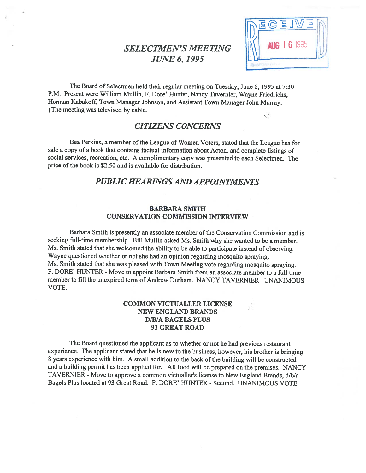# SELECTMEN'S MEETING **10 AUG 16** 995 JUNE 6,1995



The Board of Selectmen held their regular meeting on Tuesday, June 6, <sup>1995</sup> at 7:30 P.M. Present were William Mullin, F. Dore' Hunter, Nancy Tavemier, Wayne Friedrichs, Herman Kabakoff, Town Manager Johnson, and Assistant Town Manager John Murray. {The meeting was televised by cable.  $\checkmark$ 

# CITIZENS CONCERNS

Bea Perkins, <sup>a</sup> member of the League of Women Voters, stated that the League has for sale <sup>a</sup> copy of <sup>a</sup> book that contains factual information about Acton, and complete listings of social services, recreation, etc. <sup>A</sup> complimentary copy was presented to each Selectmen. The price of the book is \$2.50 and is available for distribution.

# PUBLIC HEARINGS AND APPOINTMENTS

#### BARBARA SMITH CONSERVATION COMMISSION INTERVIEW

Barbara Smith is presently an associate member of the Conservation Commission and is seeking full-time membership. Bill Mullin asked Ms. Smith why she wanted to be <sup>a</sup> member. Ms. Smith stated that she welcomed the ability to be able to participate instead of observing. Wayne questioned whether or not she had an opinion regarding mosquito spraying. Ms. Smith stated that she was <sup>p</sup>leased with Town Meeting vote regarding mosquito spraying. F. DORE' HUNTER - Move to appoint Barbara Smith from an associate member to a full time member to fill the unexpired term of Andrew Durham. NANCY TAVERNIER. UNANIMOUS VOTE.

### COMMON VICTUALLER LICENSE NEW ENGLAND BRANDS D/B/A BAGELS PLUS 93 GREAT ROAD

The Board questioned the applicant as to whether or not he had previous restaurant experience. The applicant stated that he is new to the business, however, his brother is bringing 8 years experience with him. A small addition to the back of the building will be constructed and <sup>a</sup> building permit has been applied for. All food will be prepare<sup>d</sup> on the premises. NANCY TAVERNIER - Move to approve a common victualler's license to New England Brands, d/b/a Bagels Plus located at 93 Great Road. F. DORE' HUNTER - Second. UNANIMOUS VOTE.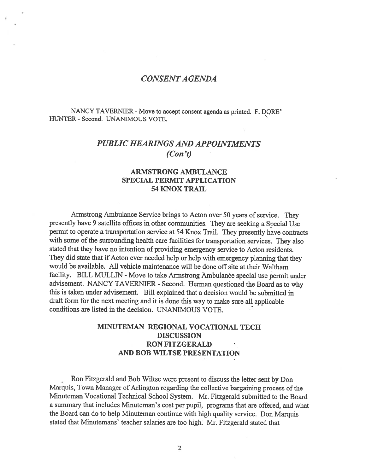# CONSENTA GENDA

NANCY TAVERNIER - Move to accept consent agenda as printed. F. DORE' HUNTER - Second. UNANIMOUS VOTE.

# PUBLIC HEARINGS AND APPOINTMENTS (Con 't)

### ARMSTRONG AMBULANCE SPECIAL PERMIT APPLICATION 54 KNOX TRAIL

Armstrong Ambulance Service brings to Acton over <sup>50</sup> years of service. They presently have <sup>9</sup> satellite offices in other communities. They are seeking <sup>a</sup> Special Use permit to operate <sup>a</sup> transportation service at <sup>54</sup> Knox Trail. They presently have contracts with some of the surrounding health care facilities for transportation services. They also stated that they have no intention of providing emergency service to Acton residents. They did state that if Acton ever needed help or help with emergency <sup>p</sup>lanning that they would be available. All vehicle maintenance will be done off site at their Waltham facility. BILL MULLIN - Move to take Armstrong Ambulance special use permit under advisement. NANCY TAVERNIER - Second. Herman questioned the Board as to why this is taken under advisement. Bill explained that <sup>a</sup> decision would be submitted in draft form for the next meeting and it is done this way to make sure all applicable conditions are listed in the decision. UNANIMOUS VOTE.

# MINUTEMAN REGIONAL VOCATIONAL TECH DISCUSSION RON FITZGERALD AND BOB WILTSE PRESENTATION

Ron Fitzgerald and Bob Wiltse were presen<sup>t</sup> to discuss the letter sent by Don Marquis, Town Manager of Arlington regarding the collective bargaining process of the Minuteman Vocational Technical School System. Mr. Fitzgerald submitted to the Board <sup>a</sup> summary that includes Minuteman's cost per pupil, programs that are offered, and what the Board can do to help Minuteman continue with high quality service. Don Marquis stated that Minutemans' teacher salaries are too high. Mr. Fitzgerald stated that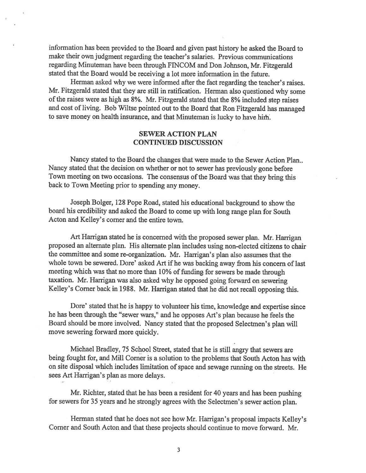information has been provided to the Board and <sup>g</sup>iven pas<sup>t</sup> history he asked the Board to make their own judgment regarding the teacher's salaries. Previous communications regarding Minuteman have been through FINCOM and Don Johnson, Mr. Fitzgerald stated that the Board would be receiving <sup>a</sup> lot more information in the future.

Herman asked why we were informed after the fact regarding the teacher's raises. Mr. Fitzgerald stated that they are still in ratification. Herman also questioned why some of the raises were as high as 8%. Mr. Fitzgerald stated that the 8% included step raises and cost of living. Bob Wiltse pointed out to the Board that Ron Fitzgerald has manage<sup>d</sup> to save money on health insurance, and that Minuteman is lucky to have hith

### SEWER ACTION PLAN CONTINUED DISCUSSION

Nancy stated to the Board the changes that were made to the Sewer Action Plan.. Nancy stated that the decision on whether or not to sewer has previously gone before Town meeting on two occasions. The consensus of the Board was that they bring this back to Town Meeting prior to spending any money.

Joseph Bolger, 12\$ Pope Road, stated his educational background to show the board his credibility and asked the Board to come up with long range <sup>p</sup>lan for South Acton and Kelley's corner and the entire town.

Art Harrigan stated he is concerned with the propose<sup>d</sup> sewer <sup>p</sup>lan. Mr. Harrigan propose<sup>d</sup> an alternate <sup>p</sup>lan. His alternate <sup>p</sup>lan includes using non-elected citizens to chair the committee and some re-organization. Mr. Harrigan's <sup>p</sup>lan also assumes that the whole town be sewered. Dore' asked Art if he was backing away from his concern of last meeting which was that no more than 10% of funding for sewers be made through taxation. Mr. Harrigan was also asked why he oppose<sup>d</sup> going forward on sewering Kelley's Corner back in 1988. Mr. Harrigan stated that he did not recall opposing this.

Dore' stated that he is happy to volunteer his time, knowledge and expertise since he has been through the "sewer wars," and he opposes Art's <sup>p</sup>lan because he feels the Board should be more involved. Nancy stated that the propose<sup>d</sup> Selectmen's <sup>p</sup>lan will move sewering forward more quickly.

Michael Bradley, <sup>75</sup> School Street, stated that he is still angry that sewers are being fought for, and Mill Corner is <sup>a</sup> solution to the problems that South Acton has with on site disposal which includes limitation of space and sewage running on the streets. He sees Art Harrigan's plan as more delays.

Mr. Richter, stated that he has been <sup>a</sup> resident for <sup>40</sup> years and has been pushing for sewers for 35 years and he strongly agrees with the Selectmen's sewer action <sup>p</sup>lan.

Herman stated that he does not see how Mr. Harrigan's proposa<sup>l</sup> impacts Kelley's Corner and South Acton and that these projects should continue to move forward. Mr.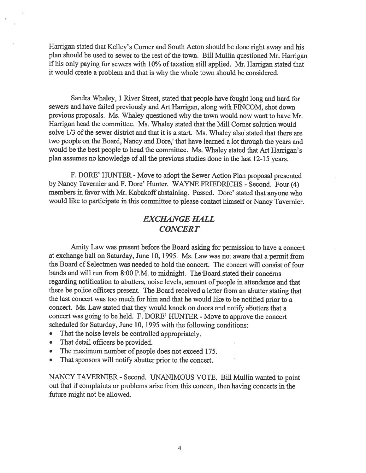Harrigan stated that Kelley's Corner and South Acton should be done right away and his plan should be used to sewer to the rest of the town. Bill Mullin questioned Mr. Harrigan if his only paying for sewers with 10% of taxation still applied. Mr. Harrigan stated that it would create <sup>a</sup> problem and that is why the whole town should be considered.

Sandra Whaley, <sup>1</sup> River Street, stated that people have fought long and hard for sewers and have failed previously and Art Harrigan, along with FINCOM, shot down previous proposals. Ms. Whaley questioned why the town would now want to have Mr. Harrigan head the committee. Ms. Whaley stated that the Mill Corner solution would solve 1/3 of the sewer district and that it is a start. Ms. Whaley also stated that there are two people on the Board, Nancy and Dore,' that have learned <sup>a</sup> lot through the years and would be the best people to head the committee. Ms. Whaley stated that Art Harrigan's <sup>p</sup>lan assumes no knowledge of all the previous studies done in the last 12-15 years.

F. DORE' HUNTER - Move to adopt the Sewer Action Plan proposa<sup>l</sup> presented by Nancy Tavernier and F. Dore' Hunter. WAYNE FRIEDRICHS - Second. Four (4) members in favor with Mr. Kabakoff abstaining. Passed. Dore' stated that anyone who would like to participate in this committee to <sup>p</sup>lease contact himself or Nancy Tavernier.

# EXCHANGE HALL **CONCERT**

Amity Law was presen<sup>t</sup> before the Board asking for permission to have <sup>a</sup> concert at exchange hall on Saturday, June 10, 1995. Ms. Law was not aware that <sup>a</sup> permit from the Board of Selectmen was needed to hold the concert. The concert will consist of four bands and will run from 8:00 P.M. to midnight. The 'Board stated their concerns regarding notification to abutters, noise levels, amount of people in attendance and that there be police officers present. The Board received <sup>a</sup> letter from an abutter stating that the last concert was too much for him and that he would like to be notified prior to <sup>a</sup> concert. Ms. Law stated that they would knock on doors and notify abutters that <sup>a</sup> concert was going to be held. F. DORE' HUNTER - Move to approve the concert scheduled for Saturday, June 10, 1995 with the following conditions:

- •That the noise levels be controlled appropriately.
- •That detail officers be provided.
- •The maximum number of people does not exceed 175.
- That sponsors will notify abutter prior to the concert.

NANCY TAVERNIER - Second. UNANIMOUS VOTE. Bill Mullin wanted to point out that if complaints or problems arise from this concert, then having concerts in the future might not be allowed.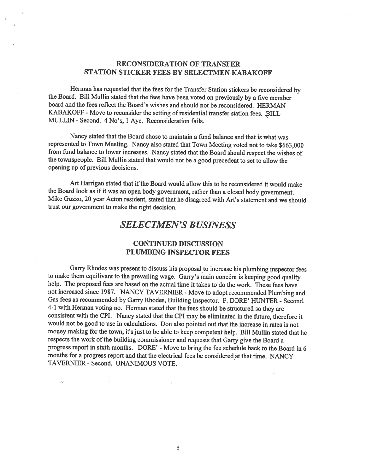### RECONSIDERATION OF TRANSFER STATION STICKER FEES BY SELECTMEN KABAKOFF

Herman has requested that the fees for the Transfer Station stickers be reconsidered by the Board. Bill Mullin stated that the fees have been voted on previously by <sup>a</sup> five member board and the fees reflect the Board's wishes and should not be reconsidered. HERMAN KABAKOFF - Move to reconsider the setting of residential transfer station fees. BILL MIJLLIN - Second. 4 No's, <sup>1</sup> Aye. Reconsideration fails.

Nancy stated that the Board chose to maintain <sup>a</sup> fund balance and that is what was represented to Town Meeting. Nancy also stated that Town Meeting voted not to take \$663,000 from fund balance to lower increases. Nancy stated that the Board should respect the wishes of the townspeople. Bill Mullin stated that would not be <sup>a</sup> good precedent to set to allow the opening up of previous decisions.

Art Harrigan stated that if the Board would allow this to be reconsidered it would make the Board look as if it was an open body government, rather than <sup>a</sup> closed body government. Mike Guzzo, <sup>20</sup> year Acton resident, stated that he disagreed with Art's statement and we should trust our government to make the right decision.

# SELECTMEN'S BUSINESS

### CONTINUED DISCUSSION PLUMBING INSPECTOR FEES

Garry Rhodes was present to discuss his proposal to increase his plumbing inspector fees to make them equilivant to the prevailing wage. Garry's main concern is keeping good quality help. The proposed fees are based on the actual time it takes to do the work. These fees have not increased since 1987. NANCY TAVERNIER - Move to adopt recommended Plumbing and Gas fees as recommended by Garry Rhodes, Building Inspector. F. DORE' HUNTER - Second. 4-1 with Herman voting no. Herman stated that the fees should be structured so they are consistent with the CPI. Nancy stated that the CPI may be eliminated in the future, therefore it would not be good to use in calculations. Don also pointed out that the increase in rates is not money making for the town, it's just to be able to keep competent help. Bill Mullin stated that he respects the work of the building commissioner and requests that Garry give the Board a progress report in sixth months. DORE' - Move to bring the fee schedule back to the Board in 6 months for <sup>a</sup> progress report and that the electrical fees be considered at that time. NANCY TAVERNIER - Second. UNANIMOUS VOTE.

 $\sqrt{2}$ 

260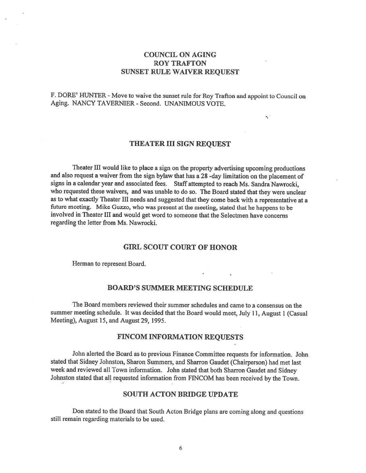## COUNCIL ON AGING ROY TRAFTON SUNSET RULE WAIVER REQUEST

F. DORE' HUNTER - Move to waive the sunset rule for Roy Trafton and appoint to Council on Aging. NANCY TAVERNIER - Second. UNANIMOUS VOTE.

#### THEATER III SIGN REQUEST

 $\leq$ 

Theater III would like to place a sign on the property advertising upcoming productions and also reques<sup>t</sup> <sup>a</sup> waiver from the sign bylaw that has <sup>a</sup> 2\$ -day limitation on the <sup>p</sup>lacement of signs in <sup>a</sup> calendar year and associated fees. Staff attempted to reach Ms. Sandra Nawrocki, who requested these waivers, and was unable to do so. The Board stated that they were unclear as to what exactly Theater III needs and suggested that they come back with <sup>a</sup> representative at <sup>a</sup> future meeting. Mike Guzzo, who was presen<sup>t</sup> at the meeting, stated that he happens to be involved in Theater III and would ge<sup>t</sup> word to someone that the Selectmen have concerns regarding the letter from Ms. Nawrocki.

#### GIRL SCOUT COURT OF HONOR

Herman to represen<sup>t</sup> Board.

### BOARD'S SUMMER MEETING SCHEDULE

The Board members reviewed their summer schedules and came to a consensus on the summer meeting schedule. It was decided that the Board would meet, July 11, August <sup>1</sup> (Casual Meeting), August 15, and August 29, 1995.

#### FINCOM INFORMATION REQUESTS

John alerted the Board as to previous Finance Committee requests for information. John stated that Sidney Johnston, Sharon Summers, and Sharron Gaudet (Chairperson) had met last week and reviewed all Town information. John stated that both Sharron Gaudet and Sidney Johnston stated that all requested information from F1NCOM has been received by the Town.

#### SOUTH ACTON BRIDGE UPDATE

Don stated to the Board that South Acton Bridge <sup>p</sup>lans are coming along and questions still remain regarding materials to be used.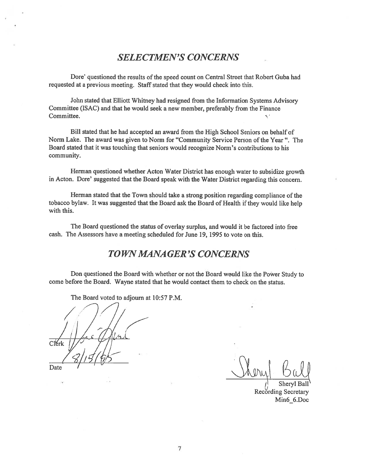# SELECTMEN'S CONCERNS

Dore' questioned the results of the speed count on Central Street that Robert Guba had requested at <sup>a</sup> previous meeting. Staff stated that they would check into this.

John stated that Elliott Whitney had resigned from the Information Systems Advisory Committee (ISAC) and that he would seek <sup>a</sup> new member, preferably from the Finance Committee. K.

Bill stated that he had accepted an award from the High School Seniors on behalf of Norm Lake. The award was given to Norm for "Community Service Person of the Year". The Board stated that it was touching that seniors would recognize Norm's contributions to his community.

Herman questioned whether Acton Water District has enoug<sup>h</sup> water to subsidize growth in Acton. Dore' suggested that the Board speak with the Water District regarding this concern.

Herman stated that the Town should take <sup>a</sup> strong position regarding compliance of the tobacco bylaw. It was suggested that the Board ask the Board of Health ifthey would like help with this.

The Board questioned the status of overlay surplus, and would it be factored into free cash. The Assessors have <sup>a</sup> meeting scheduled for June 19, 1995 to vote on this.

# TOWN MANAGER'S CONCERNS

Don questioned the Board with whether or not the Board would like the Power Study to come before the Board. Wayne stated that he would contact them to check on the status.

The Board voted to adjourn at 10:57 P.M.

/ I  $C$ l $Krk$  $\frac{2}{\text{Date}}$  /15/6

Sheryl Ball Recording Secretary Min6\_6.Doc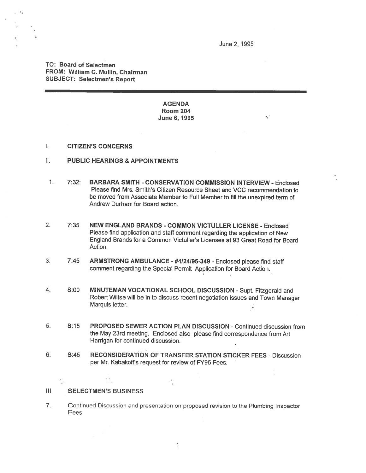June 2, 1995

K.

TO: Board of Selectmen FROM: William C. MulIin, Chairman SUBJECT: Selectmen's Report

> AGENDA Room 204 June 6, 1995

#### $\mathbf{L}$ CITIZEN'S CONCERNS

- II. PUBLIC HEARINGS & APPOINTMENTS
- 1. 7:32: BARBARA SMITH -CONSERVATION COMMISSION INTERVIEW -Enclosed Please find Mrs. Smith's Citizen Resource Sheet and VCC recommendation to be moved from Associate Member to Full Member to fill the unexpired term of Andrew Durham for Board action.
- 2. 7:35 NEW ENGLAND BRANDS -COMMON VICTULLER LICENSE Enclosed Please find application and staff comment regarding the application of New England Brands for <sup>a</sup> Common Victuller's Licenses at 93 Great Road for Board Action.
- 3. 7:45 ARMSTRONG AMBULANCE #4124195-349 -Enclosed <sup>p</sup>lease find staff comment regarding the Special Permit Application for Board Action.
- 4. 8:00 MINUTEMAN VOCATIONAL SCHOOL DISCUSSION Supt. Fitzgerald and Robert Wiltse will be in to discuss recent negotiation issues and Town Manager Marquis letter.
- 5. 8:15 PROPOSED SEWER ACTION PLAN DISCUSSION -Continued discussion from the May 23rd meeting. Enclosed also <sup>p</sup>lease find correspondence from Art Harrigan for continued discussion.
- 6. 8:45 RECONSIDERATION OF TRANSFER STATION STICKER FEES Discussion per Mr. Kabakoff's request for review of FY95 Fees.

jil.

### Ill SELECTMEN'S BUSINESS

 $\sim 10$ 

7. Continued Discussion and presentation on propose<sup>d</sup> revision to the Plumbing Inspector Fees.